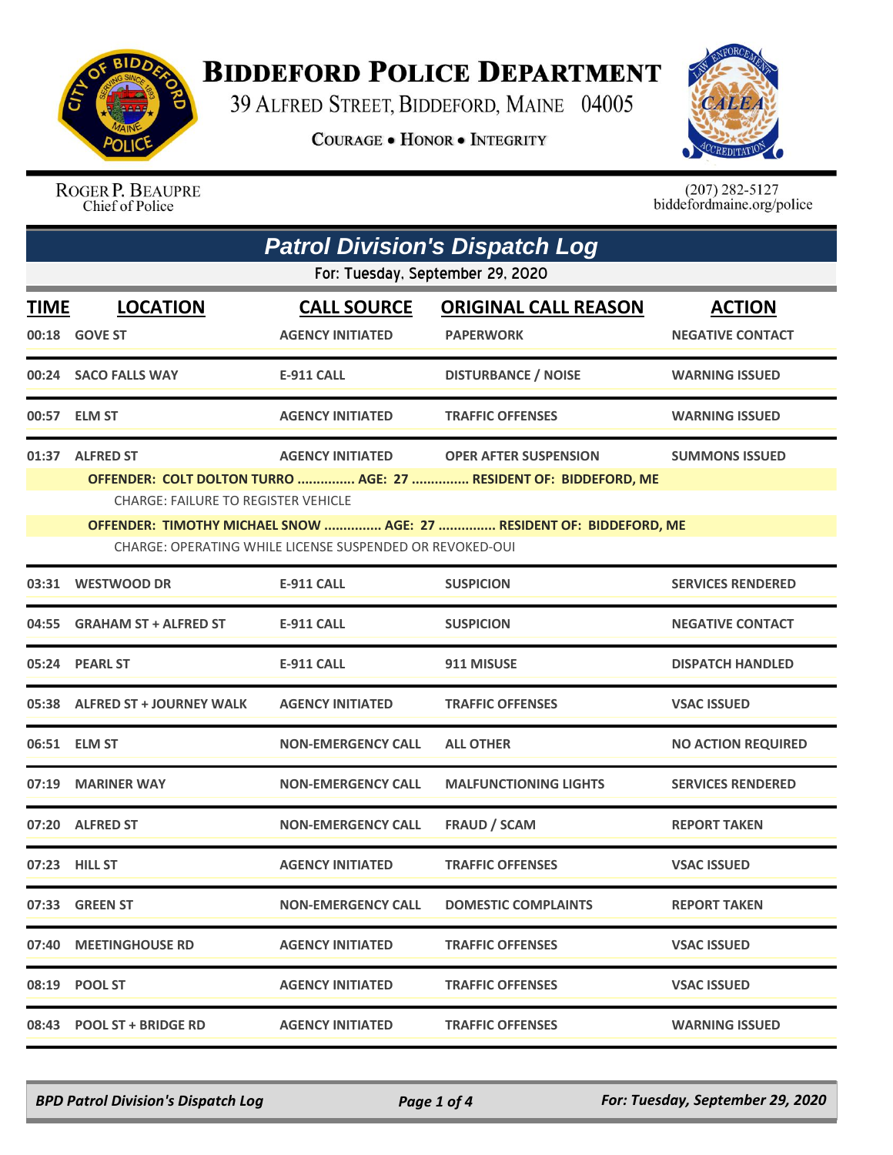

## **BIDDEFORD POLICE DEPARTMENT**

39 ALFRED STREET, BIDDEFORD, MAINE 04005

**COURAGE . HONOR . INTEGRITY** 



ROGER P. BEAUPRE Chief of Police

 $(207)$  282-5127<br>biddefordmaine.org/police

| <b>Patrol Division's Dispatch Log</b> |                                                                                                                                                                                                                                                                                                                                         |                                               |                                                 |                                          |  |
|---------------------------------------|-----------------------------------------------------------------------------------------------------------------------------------------------------------------------------------------------------------------------------------------------------------------------------------------------------------------------------------------|-----------------------------------------------|-------------------------------------------------|------------------------------------------|--|
| For: Tuesday, September 29, 2020      |                                                                                                                                                                                                                                                                                                                                         |                                               |                                                 |                                          |  |
| <b>TIME</b>                           | <b>LOCATION</b><br>00:18 GOVE ST                                                                                                                                                                                                                                                                                                        | <b>CALL SOURCE</b><br><b>AGENCY INITIATED</b> | <b>ORIGINAL CALL REASON</b><br><b>PAPERWORK</b> | <b>ACTION</b><br><b>NEGATIVE CONTACT</b> |  |
|                                       | 00:24 SACO FALLS WAY                                                                                                                                                                                                                                                                                                                    | <b>E-911 CALL</b>                             | <b>DISTURBANCE / NOISE</b>                      | <b>WARNING ISSUED</b>                    |  |
|                                       | 00:57 ELM ST                                                                                                                                                                                                                                                                                                                            | <b>AGENCY INITIATED</b>                       | <b>TRAFFIC OFFENSES</b>                         | <b>WARNING ISSUED</b>                    |  |
|                                       | 01:37 ALFRED ST<br>AGENCY INITIATED OPER AFTER SUSPENSION<br><b>SUMMONS ISSUED</b><br>OFFENDER: COLT DOLTON TURRO  AGE: 27  RESIDENT OF: BIDDEFORD, ME<br><b>CHARGE: FAILURE TO REGISTER VEHICLE</b><br>OFFENDER: TIMOTHY MICHAEL SNOW  AGE: 27  RESIDENT OF: BIDDEFORD, ME<br>CHARGE: OPERATING WHILE LICENSE SUSPENDED OR REVOKED-OUI |                                               |                                                 |                                          |  |
| 03:31                                 | <b>WESTWOOD DR</b>                                                                                                                                                                                                                                                                                                                      | <b>E-911 CALL</b>                             | <b>SUSPICION</b>                                | <b>SERVICES RENDERED</b>                 |  |
|                                       | 04:55 GRAHAM ST + ALFRED ST                                                                                                                                                                                                                                                                                                             | E-911 CALL                                    | <b>SUSPICION</b>                                | <b>NEGATIVE CONTACT</b>                  |  |
|                                       | 05:24 PEARL ST                                                                                                                                                                                                                                                                                                                          | <b>E-911 CALL</b>                             | 911 MISUSE                                      | <b>DISPATCH HANDLED</b>                  |  |
|                                       | 05:38 ALFRED ST + JOURNEY WALK                                                                                                                                                                                                                                                                                                          | <b>AGENCY INITIATED</b>                       | <b>TRAFFIC OFFENSES</b>                         | <b>VSAC ISSUED</b>                       |  |
|                                       | 06:51 ELM ST                                                                                                                                                                                                                                                                                                                            | <b>NON-EMERGENCY CALL</b>                     | <b>ALL OTHER</b>                                | <b>NO ACTION REQUIRED</b>                |  |
|                                       | 07:19 MARINER WAY                                                                                                                                                                                                                                                                                                                       | <b>NON-EMERGENCY CALL</b>                     | <b>MALFUNCTIONING LIGHTS</b>                    | <b>SERVICES RENDERED</b>                 |  |
|                                       | 07:20 ALFRED ST                                                                                                                                                                                                                                                                                                                         | <b>NON-EMERGENCY CALL</b>                     | <b>FRAUD / SCAM</b>                             | <b>REPORT TAKEN</b>                      |  |
|                                       | 07:23 HILL ST                                                                                                                                                                                                                                                                                                                           | <b>AGENCY INITIATED</b>                       | <b>TRAFFIC OFFENSES</b>                         | <b>VSAC ISSUED</b>                       |  |
|                                       | 07:33 GREEN ST                                                                                                                                                                                                                                                                                                                          | <b>NON-EMERGENCY CALL</b>                     | <b>DOMESTIC COMPLAINTS</b>                      | <b>REPORT TAKEN</b>                      |  |
|                                       | 07:40 MEETINGHOUSE RD                                                                                                                                                                                                                                                                                                                   | <b>AGENCY INITIATED</b>                       | <b>TRAFFIC OFFENSES</b>                         | <b>VSAC ISSUED</b>                       |  |
|                                       | 08:19 POOL ST                                                                                                                                                                                                                                                                                                                           | <b>AGENCY INITIATED</b>                       | <b>TRAFFIC OFFENSES</b>                         | <b>VSAC ISSUED</b>                       |  |
|                                       | 08:43 POOL ST + BRIDGE RD                                                                                                                                                                                                                                                                                                               | <b>AGENCY INITIATED</b>                       | <b>TRAFFIC OFFENSES</b>                         | <b>WARNING ISSUED</b>                    |  |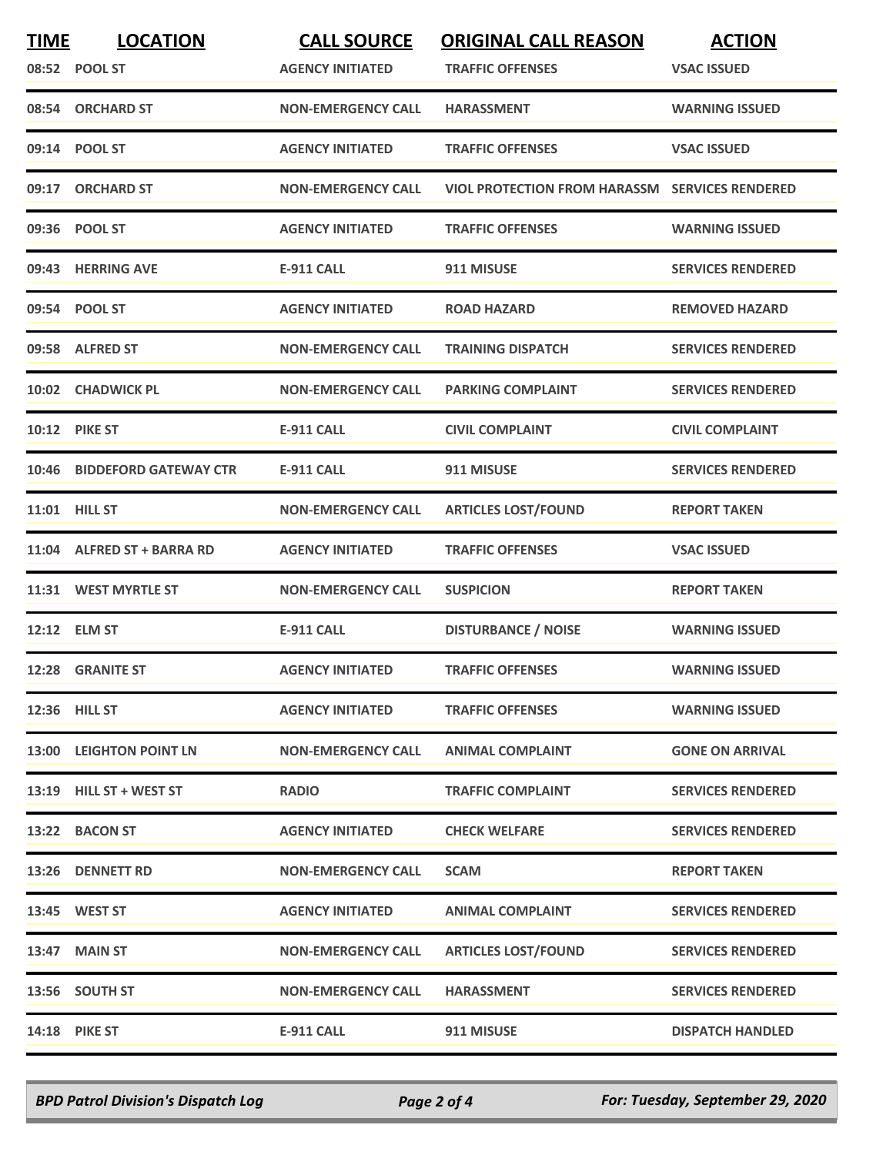| <b>TIME</b> | <b>LOCATION</b><br>08:52 POOL ST | <b>CALL SOURCE</b><br><b>AGENCY INITIATED</b> | <b>ORIGINAL CALL REASON</b><br><b>TRAFFIC OFFENSES</b> | <b>ACTION</b><br><b>VSAC ISSUED</b> |
|-------------|----------------------------------|-----------------------------------------------|--------------------------------------------------------|-------------------------------------|
|             | 08:54 ORCHARD ST                 | <b>NON-EMERGENCY CALL</b>                     | <b>HARASSMENT</b>                                      | <b>WARNING ISSUED</b>               |
|             | 09:14 POOL ST                    | <b>AGENCY INITIATED</b>                       | <b>TRAFFIC OFFENSES</b>                                | <b>VSAC ISSUED</b>                  |
|             | 09:17 ORCHARD ST                 | <b>NON-EMERGENCY CALL</b>                     | <b>VIOL PROTECTION FROM HARASSM SERVICES RENDERED</b>  |                                     |
|             | 09:36 POOL ST                    | <b>AGENCY INITIATED</b>                       | <b>TRAFFIC OFFENSES</b>                                | <b>WARNING ISSUED</b>               |
|             | 09:43 HERRING AVE                | <b>E-911 CALL</b>                             | 911 MISUSE                                             | <b>SERVICES RENDERED</b>            |
|             | 09:54 POOL ST                    | <b>AGENCY INITIATED</b>                       | <b>ROAD HAZARD</b>                                     | <b>REMOVED HAZARD</b>               |
|             | 09:58 ALFRED ST                  | <b>NON-EMERGENCY CALL</b>                     | <b>TRAINING DISPATCH</b>                               | <b>SERVICES RENDERED</b>            |
|             | 10:02 CHADWICK PL                | <b>NON-EMERGENCY CALL</b>                     | <b>PARKING COMPLAINT</b>                               | <b>SERVICES RENDERED</b>            |
|             | <b>10:12 PIKE ST</b>             | <b>E-911 CALL</b>                             | <b>CIVIL COMPLAINT</b>                                 | <b>CIVIL COMPLAINT</b>              |
|             | 10:46 BIDDEFORD GATEWAY CTR      | <b>E-911 CALL</b>                             | 911 MISUSE                                             | <b>SERVICES RENDERED</b>            |
|             | 11:01 HILL ST                    | <b>NON-EMERGENCY CALL</b>                     | <b>ARTICLES LOST/FOUND</b>                             | <b>REPORT TAKEN</b>                 |
|             | 11:04 ALFRED ST + BARRA RD       | <b>AGENCY INITIATED</b>                       | <b>TRAFFIC OFFENSES</b>                                | <b>VSAC ISSUED</b>                  |
|             | 11:31 WEST MYRTLE ST             | <b>NON-EMERGENCY CALL</b>                     | <b>SUSPICION</b>                                       | <b>REPORT TAKEN</b>                 |
|             | 12:12 ELM ST                     | <b>E-911 CALL</b>                             | <b>DISTURBANCE / NOISE</b>                             | <b>WARNING ISSUED</b>               |
|             | 12:28 GRANITE ST                 | <b>AGENCY INITIATED</b>                       | <b>TRAFFIC OFFENSES</b>                                | <b>WARNING ISSUED</b>               |
|             | 12:36 HILL ST                    | <b>AGENCY INITIATED</b>                       | <b>TRAFFIC OFFENSES</b>                                | <b>WARNING ISSUED</b>               |
|             | 13:00 LEIGHTON POINT LN          | <b>NON-EMERGENCY CALL</b>                     | <b>ANIMAL COMPLAINT</b>                                | <b>GONE ON ARRIVAL</b>              |
|             | 13:19 HILL ST + WEST ST          | <b>RADIO</b>                                  | <b>TRAFFIC COMPLAINT</b>                               | <b>SERVICES RENDERED</b>            |
|             | 13:22 BACON ST                   | <b>AGENCY INITIATED</b>                       | <b>CHECK WELFARE</b>                                   | <b>SERVICES RENDERED</b>            |
|             | 13:26 DENNETT RD                 | <b>NON-EMERGENCY CALL</b>                     | <b>SCAM</b>                                            | <b>REPORT TAKEN</b>                 |
|             | 13:45 WEST ST                    | <b>AGENCY INITIATED</b>                       | <b>ANIMAL COMPLAINT</b>                                | <b>SERVICES RENDERED</b>            |
|             | 13:47 MAIN ST                    | <b>NON-EMERGENCY CALL</b>                     | <b>ARTICLES LOST/FOUND</b>                             | <b>SERVICES RENDERED</b>            |
|             | 13:56 SOUTH ST                   | <b>NON-EMERGENCY CALL</b>                     | <b>HARASSMENT</b>                                      | <b>SERVICES RENDERED</b>            |
|             | <b>14:18 PIKE ST</b>             | E-911 CALL                                    | 911 MISUSE                                             | <b>DISPATCH HANDLED</b>             |

*BPD Patrol Division's Dispatch Log Page 2 of 4 For: Tuesday, September 29, 2020*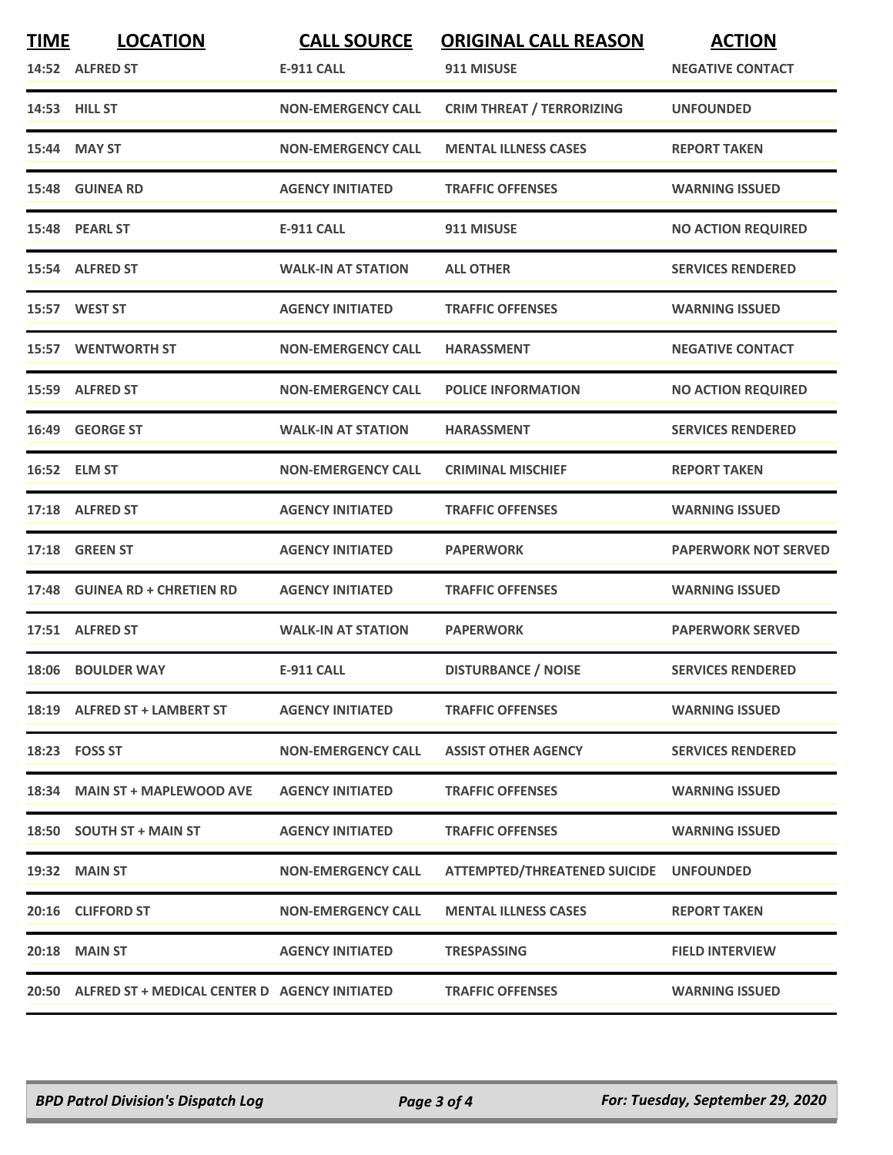| <u>TIME</u> | <b>LOCATION</b><br>14:52 ALFRED ST                  | <b>CALL SOURCE</b><br><b>E-911 CALL</b> | <b>ORIGINAL CALL REASON</b><br>911 MISUSE | <b>ACTION</b><br><b>NEGATIVE CONTACT</b> |
|-------------|-----------------------------------------------------|-----------------------------------------|-------------------------------------------|------------------------------------------|
|             | 14:53 HILL ST                                       | <b>NON-EMERGENCY CALL</b>               | <b>CRIM THREAT / TERRORIZING</b>          | <b>UNFOUNDED</b>                         |
| 15:44       | <b>MAY ST</b>                                       | <b>NON-EMERGENCY CALL</b>               | <b>MENTAL ILLNESS CASES</b>               | <b>REPORT TAKEN</b>                      |
|             | 15:48 GUINEA RD                                     | <b>AGENCY INITIATED</b>                 | <b>TRAFFIC OFFENSES</b>                   | <b>WARNING ISSUED</b>                    |
|             | 15:48 PEARL ST                                      | <b>E-911 CALL</b>                       | 911 MISUSE                                | <b>NO ACTION REQUIRED</b>                |
|             | 15:54 ALFRED ST                                     | <b>WALK-IN AT STATION</b>               | <b>ALL OTHER</b>                          | <b>SERVICES RENDERED</b>                 |
|             | 15:57 WEST ST                                       | <b>AGENCY INITIATED</b>                 | <b>TRAFFIC OFFENSES</b>                   | <b>WARNING ISSUED</b>                    |
|             | <b>15:57 WENTWORTH ST</b>                           | <b>NON-EMERGENCY CALL</b>               | <b>HARASSMENT</b>                         | <b>NEGATIVE CONTACT</b>                  |
|             | 15:59 ALFRED ST                                     | <b>NON-EMERGENCY CALL</b>               | <b>POLICE INFORMATION</b>                 | <b>NO ACTION REQUIRED</b>                |
| 16:49       | <b>GEORGE ST</b>                                    | <b>WALK-IN AT STATION</b>               | <b>HARASSMENT</b>                         | <b>SERVICES RENDERED</b>                 |
|             | 16:52 ELM ST                                        | <b>NON-EMERGENCY CALL</b>               | <b>CRIMINAL MISCHIEF</b>                  | <b>REPORT TAKEN</b>                      |
|             | 17:18 ALFRED ST                                     | <b>AGENCY INITIATED</b>                 | <b>TRAFFIC OFFENSES</b>                   | <b>WARNING ISSUED</b>                    |
| 17:18       | <b>GREEN ST</b>                                     | <b>AGENCY INITIATED</b>                 | <b>PAPERWORK</b>                          | <b>PAPERWORK NOT SERVED</b>              |
|             | 17:48 GUINEA RD + CHRETIEN RD                       | <b>AGENCY INITIATED</b>                 | <b>TRAFFIC OFFENSES</b>                   | <b>WARNING ISSUED</b>                    |
|             | 17:51 ALFRED ST                                     | <b>WALK-IN AT STATION</b>               | <b>PAPERWORK</b>                          | <b>PAPERWORK SERVED</b>                  |
|             | 18:06 BOULDER WAY                                   | <b>E-911 CALL</b>                       | <b>DISTURBANCE / NOISE</b>                | <b>SERVICES RENDERED</b>                 |
|             | 18:19 ALFRED ST + LAMBERT ST                        | <b>AGENCY INITIATED</b>                 | <b>TRAFFIC OFFENSES</b>                   | <b>WARNING ISSUED</b>                    |
|             | 18:23 FOSS ST                                       | <b>NON-EMERGENCY CALL</b>               | <b>ASSIST OTHER AGENCY</b>                | <b>SERVICES RENDERED</b>                 |
|             | 18:34 MAIN ST + MAPLEWOOD AVE                       | <b>AGENCY INITIATED</b>                 | <b>TRAFFIC OFFENSES</b>                   | <b>WARNING ISSUED</b>                    |
|             | 18:50 SOUTH ST + MAIN ST                            | <b>AGENCY INITIATED</b>                 | <b>TRAFFIC OFFENSES</b>                   | <b>WARNING ISSUED</b>                    |
|             | 19:32 MAIN ST                                       | <b>NON-EMERGENCY CALL</b>               | ATTEMPTED/THREATENED SUICIDE UNFOUNDED    |                                          |
|             | 20:16 CLIFFORD ST                                   | <b>NON-EMERGENCY CALL</b>               | <b>MENTAL ILLNESS CASES</b>               | <b>REPORT TAKEN</b>                      |
|             | 20:18 MAIN ST                                       | <b>AGENCY INITIATED</b>                 | <b>TRESPASSING</b>                        | <b>FIELD INTERVIEW</b>                   |
|             | 20:50 ALFRED ST + MEDICAL CENTER D AGENCY INITIATED |                                         | <b>TRAFFIC OFFENSES</b>                   | <b>WARNING ISSUED</b>                    |